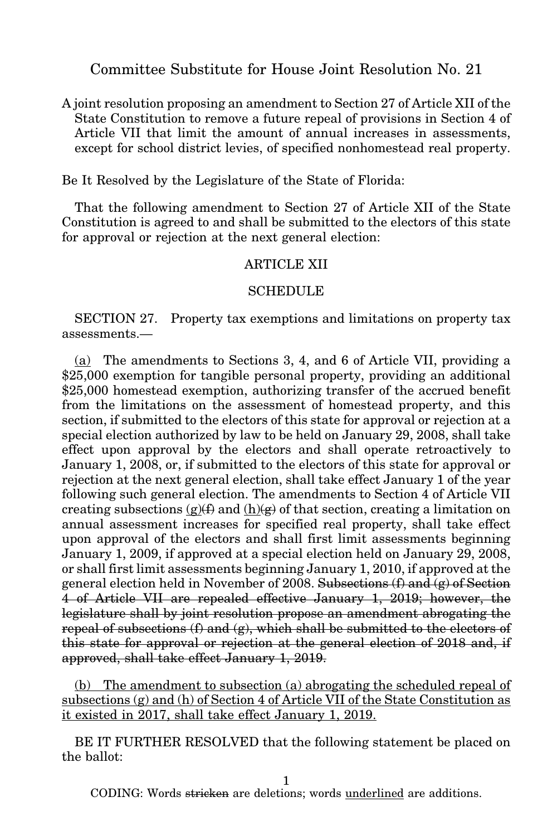Committee Substitute for House Joint Resolution No. 21

A joint resolution proposing an amendment to Section 27 of Article XII of the State Constitution to remove a future repeal of provisions in Section 4 of Article VII that limit the amount of annual increases in assessments, except for school district levies, of specified nonhomestead real property.

Be It Resolved by the Legislature of the State of Florida:

That the following amendment to Section 27 of Article XII of the State Constitution is agreed to and shall be submitted to the electors of this state for approval or rejection at the next general election:

## ARTICLE XII

## **SCHEDULE**

SECTION 27. Property tax exemptions and limitations on property tax assessments.—

(a) The amendments to Sections 3, 4, and 6 of Article VII, providing a \$25,000 exemption for tangible personal property, providing an additional \$25,000 homestead exemption, authorizing transfer of the accrued benefit from the limitations on the assessment of homestead property, and this section, if submitted to the electors of this state for approval or rejection at a special election authorized by law to be held on January 29, 2008, shall take effect upon approval by the electors and shall operate retroactively to January 1, 2008, or, if submitted to the electors of this state for approval or rejection at the next general election, shall take effect January 1 of the year following such general election. The amendments to Section 4 of Article VII creating subsections  $(g)(f)$  and  $(h)(g)$  of that section, creating a limitation on annual assessment increases for specified real property, shall take effect upon approval of the electors and shall first limit assessments beginning January 1, 2009, if approved at a special election held on January 29, 2008, or shall first limit assessments beginning January 1, 2010, if approved at the general election held in November of 2008. Subsections  $(f)$  and  $(g)$  of Section 4 of Article VII are repealed effective January 1, 2019; however, the legislature shall by joint resolution propose an amendment abrogating the repeal of subsections  $(f)$  and  $(g)$ , which shall be submitted to the electors of this state for approval or rejection at the general election of 2018 and, if approved, shall take effect January 1, 2019.

(b) The amendment to subsection (a) abrogating the scheduled repeal of subsections  $(g)$  and  $(h)$  of Section 4 of Article VII of the State Constitution as it existed in 2017, shall take effect January 1, 2019.

BE IT FURTHER RESOLVED that the following statement be placed on the ballot:

1

CODING: Words stricken are deletions; words underlined are additions.